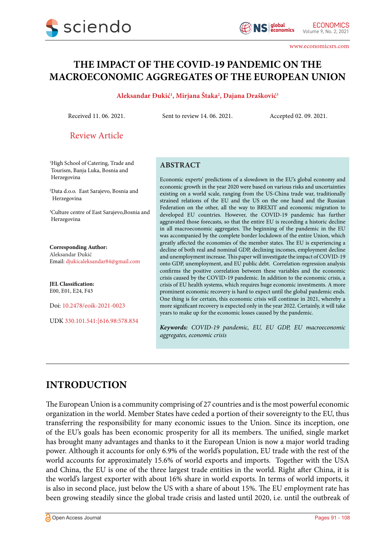www.economicsrs.com

# **THE IMPACT OF THE COVID-19 PANDEMIC ON THE MACROECONOMIC AGGREGATES OF THE EUROPEAN UNION**

#### **Aleksandar Đukić1 , Mirjana Štaka2 , Dajana Drašković3**

Received 11. 06. 2021. Sent to review 14. 06. 2021. Accepted 02. 09. 2021.

## Review Article

1 High School of Catering, Trade and Tourism, Banja Luka, Bosnia and Herzegovina

2 Data d.o.o. East Sarajevo, Bosnia and Herzegovina

3 Culture centre of East Sarajevo,Bosnia and Herzegovina

#### **Corresponding Author:**

Aleksandar Đukić Email: [djukicaleksandar84@gmail.com](mailto:djukicaleksandar84@gmail.com)

**JEL Classification:** E00, E01, E24, F43

Doi: 10.2478/eoik-2021-0023

UDK 330.101.541:[616.98:578.834

#### **ABSTRACT**

Economic experts' predictions of a slowdown in the EU's global economy and economic growth in the year 2020 were based on various risks and uncertainties existing on a world scale, ranging from the US-China trade war, traditionally strained relations of the EU and the US on the one hand and the Russian Federation on the other, all the way to BREXIT and economic migration to developed EU countries. However, the COVID-19 pandemic has further aggravated those forecasts, so that the entire EU is recording a historic decline in all macroeconomic aggregates. The beginning of the pandemic in the EU was accompanied by the complete border lockdown of the entire Union, which greatly affected the economies of the member states. The EU is experiencing a decline of both real and nominal GDP, declining incomes, employment decline and unemployment increase. This paper will investigate the impact of COVID-19 onto GDP, unemployment, and EU public debt. Correlation-regression analysis confirms the positive correlation between these variables and the economic crisis caused by the COVID-19 pandemic. In addition to the economic crisis, a crisis of EU health systems, which requires huge economic investments. A more prominent economic recovery is hard to expect until the global pandemic ends. One thing is for certain, this economic crisis will continue in 2021, whereby a more significant recovery is expected only in the year 2022. Certainly, it will take years to make up for the economic losses caused by the pandemic.

*Keywords: COVID-19 pandemic, EU, EU GDP, EU macroeconomic aggregates, economic crisis*

# **INTRODUCTION**

The European Union is a community comprising of 27 countries and is the most powerful economic organization in the world. Member States have ceded a portion of their sovereignty to the EU, thus transferring the responsibility for many economic issues to the Union. Since its inception, one of the EU's goals has been economic prosperity for all its members. The unified, single market has brought many advantages and thanks to it the European Union is now a major world trading power. Although it accounts for only 6.9% of the world's population, EU trade with the rest of the world accounts for approximately 15.6% of world exports and imports. Together with the USA and China, the EU is one of the three largest trade entities in the world. Right after China, it is the world's largest exporter with about 16% share in world exports. In terms of world imports, it is also in second place, just below the US with a share of about 15%. The EU employment rate has been growing steadily since the global trade crisis and lasted until 2020, i.e. until the outbreak of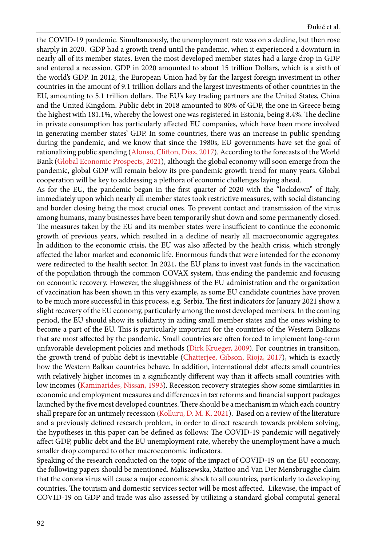the COVID-19 pandemic. Simultaneously, the unemployment rate was on a decline, but then rose sharply in 2020. GDP had a growth trend until the pandemic, when it experienced a downturn in nearly all of its member states. Even the most developed member states had a large drop in GDP and entered a recession. GDP in 2020 amounted to about 15 trillion Dollars, which is a sixth of the world's GDP. In 2012, the European Union had by far the largest foreign investment in other countries in the amount of 9.1 trillion dollars and the largest investments of other countries in the EU, amounting to 5.1 trillion dollars. The EU's key trading partners are the United States, China and the United Kingdom. Public debt in 2018 amounted to 80% of GDP, the one in Greece being the highest with 181.1%, whereby the lowest one was registered in Estonia, being 8.4%. The decline in private consumption has particularly affected EU companies, which have been more involved in generating member states' GDP. In some countries, there was an increase in public spending during the pandemic, and we know that since the 1980s, EU governments have set the goal of rationalizing public spending [\(Alonso, Clifton, Diaz, 2017](#page-15-0)). According to the forecasts of the World Bank [\(Global Economic Prospects, 2021\)](#page-15-0), although the global economy will soon emerge from the pandemic, global GDP will remain below its pre-pandemic growth trend for many years. Global cooperation will be key to addressing a plethora of economic challenges laying ahead.

As for the EU, the pandemic began in the first quarter of 2020 with the "lockdown" of Italy, immediately upon which nearly all member states took restrictive measures, with social distancing and border closing being the most crucial ones. To prevent contact and transmission of the virus among humans, many businesses have been temporarily shut down and some permanently closed. The measures taken by the EU and its member states were insufficient to continue the economic growth of previous years, which resulted in a decline of nearly all macroeconomic aggregates. In addition to the economic crisis, the EU was also affected by the health crisis, which strongly affected the labor market and economic life. Enormous funds that were intended for the economy were redirected to the health sector. In 2021, the EU plans to invest vast funds in the vaccination of the population through the common COVAX system, thus ending the pandemic and focusing on economic recovery. However, the sluggishness of the EU administration and the organization of vaccination has been shown in this very example, as some EU candidate countries have proven to be much more successful in this process, e.g. Serbia. The first indicators for January 2021 show a slight recovery of the EU economy, particularly among the most developed members. In the coming period, the EU should show its solidarity in aiding small member states and the ones wishing to become a part of the EU. This is particularly important for the countries of the Western Balkans that are most affected by the pandemic. Small countries are often forced to implement long-term unfavorable development policies and methods ([Dirk Krueger, 2009](#page-15-0)). For countries in transition, the growth trend of public debt is inevitable ([Chatterjee, Gibson, Rioja, 2017](#page-15-0)), which is exactly how the Western Balkan countries behave. In addition, international debt affects small countries with relatively higher incomes in a significantly different way than it affects small countries with low incomes ([Kaminarides, Nissan, 1993\)](#page-15-0). Recession recovery strategies show some similarities in economic and employment measures and differences in tax reforms and financial support packages launched by the five most developed countries. There should be a mechanism in which each country shall prepare for an untimely recession [\(Kolluru, D. M. K. 2021\)](#page-15-0). Based on a review of the literature and a previously defined research problem, in order to direct research towards problem solving, the hypotheses in this paper can be defined as follows: The COVID-19 pandemic will negatively affect GDP, public debt and the EU unemployment rate, whereby the unemployment have a much smaller drop compared to other macroeconomic indicators.

Speaking of the research conducted on the topic of the impact of COVID-19 on the EU economy, the following papers should be mentioned. Maliszewska, Mattoo and Van Der Mensbrugghe claim that the corona virus will cause a major economic shock to all countries, particularly to developing countries. The tourism and domestic services sector will be most affected. Likewise, the impact of COVID-19 on GDP and trade was also assessed by utilizing a standard global computal general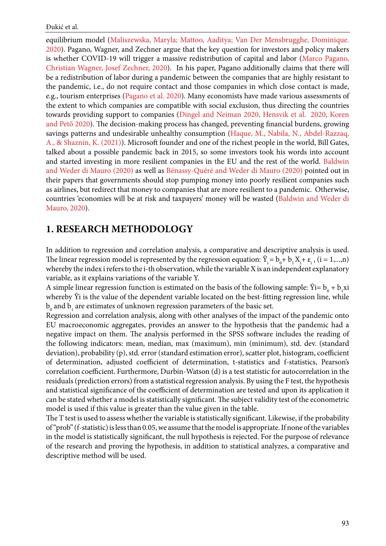equilibrium model ([Maliszewska, Maryla; Mattoo, Aaditya; Van Der Mensbrugghe, Dominique.](#page-15-0)  [2020\)](#page-15-0). Pagano, Wagner, and Zechner argue that the key question for investors and policy makers is whether COVID-19 will trigger a massive redistribution of capital and labor [\(Marco Pagano,](#page-15-0)  [Christian Wagner, Josef Zechner, 2020\)](#page-15-0). In his paper, Pagano additionally claims that there will be a redistribution of labor during a pandemic between the companies that are highly resistant to the pandemic, i.e., do not require contact and those companies in which close contact is made, e.g., tourism enterprises ([Pagano et al. 2020\)](#page-15-0). Many economists have made various assessments of the extent to which companies are compatible with social exclusion, thus directing the countries towards providing support to companies [\(Dingel and Neiman 2020, Hensvik et al. 2020, Koren](#page-15-0)  [and Pető 2020\)](#page-15-0). The decision-making process has changed, preventing financial burdens, growing savings patterns and undesirable unhealthy consumption ([Haque, M., Nabila, N., Abdel-Razzaq,](#page-15-0)  [A., & Shaznin, K. \(2021\)](#page-15-0)). Microsoft founder and one of the richest people in the world, Bill Gates, talked about a possible pandemic back in 2015, so some investors took his words into account and started investing in more resilient companies in the EU and the rest of the world. [Baldwin](#page-15-0)  [and Weder di Mauro \(2020\)](#page-15-0) as well as [Bénassy-Quéré and Weder di Mauro \(2020\)](#page-15-0) pointed out in their papers that governments should stop pumping money into poorly resilient companies such as airlines, but redirect that money to companies that are more resilient to a pandemic. Otherwise, countries 'economies will be at risk and taxpayers' money will be wasted [\(Baldwin and Weder di](#page-15-0)  [Mauro, 2020](#page-15-0)).

# **1. RESEARCH METHODOLOGY**

In addition to regression and correlation analysis, a comparative and descriptive analysis is used. The linear regression model is represented by the regression equation:  $\hat{Y}_i = b_0 + b_1 X_i + \varepsilon_i$ ,  $(i = 1,...,n)$ whereby the index i refers to the i-th observation, while the variable X is an independent explanatory variable, as it explains variations of the variable Y.

A simple linear regression function is estimated on the basis of the following sample:  $\hat{Y} = b_0 + b_1 x i$ whereby  $\hat{Y}$  is the value of the dependent variable located on the best-fitting regression line, while  $\rm b_{_0}$  and  $\rm b_{_1}$  are estimates of unknown regression parameters of the basic set.

Regression and correlation analysis, along with other analyses of the impact of the pandemic onto EU macroeconomic aggregates, provides an answer to the hypothesis that the pandemic had a negative impact on them. The analysis performed in the SPSS software includes the reading of the following indicators: mean, median, max (maximum), min (minimum), std. dev. (standard deviation), probability (p), std. error (standard estimation error), scatter plot, histogram, coefficient of determination, adjusted coefficient of determination, t-statistics and f-statistics, Pearson's correlation coefficient. Furthermore, Durbin-Watson (d) is a test statistic for autocorrelation in the residuals (prediction errors) from a statistical regression analysis. By using the F test, the hypothesis and statistical significance of the coefficient of determination are tested and upon its application it can be stated whether a model is statistically significant. The subject validity test of the econometric model is used if this value is greater than the value given in the table.

The T test is used to assess whether the variable is statistically significant. Likewise, if the probability of "prob" (f-statistic) is less than 0.05, we assume that the model is appropriate. If none of the variables in the model is statistically significant, the null hypothesis is rejected. For the purpose of relevance of the research and proving the hypothesis, in addition to statistical analyzes, a comparative and descriptive method will be used.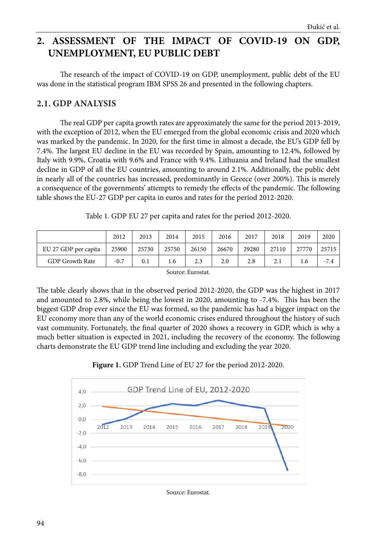# **2. ASSESSMENT OF THE IMPACT OF COVID-19 ON GDP, UNEMPLOYMENT, EU PUBLIC DEBT**

The research of the impact of COVID-19 on GDP, unemployment, public debt of the EU was done in the statistical program IBM SPSS 26 and presented in the following chapters.

## **2.1. GDP ANALYSIS**

The real GDP per capita growth rates are approximately the same for the period 2013-2019, with the exception of 2012, when the EU emerged from the global economic crisis and 2020 which was marked by the pandemic. In 2020, for the first time in almost a decade, the EU's GDP fell by 7.4%. The largest EU decline in the EU was recorded by Spain, amounting to 12.4%, followed by Italy with 9.9%, Croatia with 9.6% and France with 9.4%. Lithuania and Ireland had the smallest decline in GDP of all the EU countries, amounting to around 2.1%. Additionally, the public debt in nearly all of the countries has increased, predominantly in Greece (over 200%). This is merely a consequence of the governments' attempts to remedy the effects of the pandemic. The following table shows the EU-27 GDP per capita in euros and rates for the period 2012-2020.

| Table 1. GDP EU 27 per capita and rates for the period 2012-2020. |  |  |  |  |  |  |  |  |  |  |  |
|-------------------------------------------------------------------|--|--|--|--|--|--|--|--|--|--|--|
|-------------------------------------------------------------------|--|--|--|--|--|--|--|--|--|--|--|

|                        | 2012   | 2013  | 2014   | 2015   | 2016  | 2017  | 2018  | 2019  | 2020   |
|------------------------|--------|-------|--------|--------|-------|-------|-------|-------|--------|
| EU 27 GDP per capita   | 25900  | 25730 | 25750  | 26150  | 26670 | 29280 | 27110 | 27770 | 25715  |
| <b>GDP Growth Rate</b> | $-0.7$ | 0.1   | 1.6    | 2.3    | 2.0   | 2.8   | 2.1   | 1.6   | $-7.4$ |
|                        |        |       | $\sim$ | $\sim$ |       |       |       |       |        |

Source: Eurostat.

The table clearly shows that in the observed period 2012-2020, the GDP was the highest in 2017 and amounted to 2.8%, while being the lowest in 2020, amounting to -7.4%. This has been the biggest GDP drop ever since the EU was formed, so the pandemic has had a bigger impact on the EU economy more than any of the world economic crises endured throughout the history of such vast community. Fortunately, the final quarter of 2020 shows a recovery in GDP, which is why a much better situation is expected in 2021, including the recovery of the economy. The following charts demonstrate the EU GDP trend line including and excluding the year 2020.





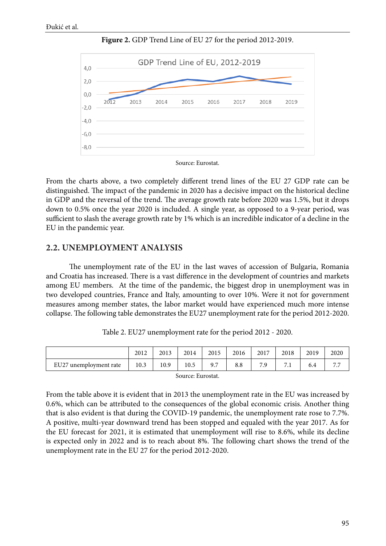

**Figure 2.** GDP Trend Line of EU 27 for the period 2012-2019.

Source: Eurostat.

From the charts above, a two completely different trend lines of the EU 27 GDP rate can be distinguished. The impact of the pandemic in 2020 has a decisive impact on the historical decline in GDP and the reversal of the trend. The average growth rate before 2020 was 1.5%, but it drops down to 0.5% once the year 2020 is included. A single year, as opposed to a 9-year period, was sufficient to slash the average growth rate by 1% which is an incredible indicator of a decline in the EU in the pandemic year.

## **2.2. UNEMPLOYMENT ANALYSIS**

The unemployment rate of the EU in the last waves of accession of Bulgaria, Romania and Croatia has increased. There is a vast difference in the development of countries and markets among EU members. At the time of the pandemic, the biggest drop in unemployment was in two developed countries, France and Italy, amounting to over 10%. Were it not for government measures among member states, the labor market would have experienced much more intense collapse. The following table demonstrates the EU27 unemployment rate for the period 2012-2020.

|                        | 2012 | 2013 | 2014 | 2015 | 2016 | 2017    | 2018                        | 2019 | 2020 |
|------------------------|------|------|------|------|------|---------|-----------------------------|------|------|
| EU27 unemployment rate | 10.3 | 10.9 | 10.5 | 9.7  | 8.8  | 7 Q<br> | $\overline{ }$<br>$\cdot$ . | 6.4  |      |

Table 2. EU27 unemployment rate for the period 2012 - 2020.

Source: Eurostat.

From the table above it is evident that in 2013 the unemployment rate in the EU was increased by 0.6%, which can be attributed to the consequences of the global economic crisis. Another thing that is also evident is that during the COVID-19 pandemic, the unemployment rate rose to 7.7%. A positive, multi-year downward trend has been stopped and equaled with the year 2017. As for the EU forecast for 2021, it is estimated that unemployment will rise to 8.6%, while its decline is expected only in 2022 and is to reach about 8%. The following chart shows the trend of the unemployment rate in the EU 27 for the period 2012-2020.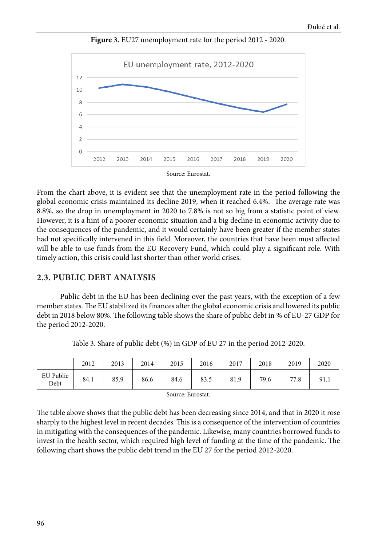

**Figure 3.** EU27 unemployment rate for the period 2012 - 2020.



From the chart above, it is evident see that the unemployment rate in the period following the global economic crisis maintained its decline 2019, when it reached 6.4%. The average rate was 8.8%, so the drop in unemployment in 2020 to 7.8% is not so big from a statistic point of view. However, it is a hint of a poorer economic situation and a big decline in economic activity due to the consequences of the pandemic, and it would certainly have been greater if the member states had not specifically intervened in this field. Moreover, the countries that have been most affected will be able to use funds from the EU Recovery Fund, which could play a significant role. With timely action, this crisis could last shorter than other world crises.

## **2.3. PUBLIC DEBT ANALYSIS**

Public debt in the EU has been declining over the past years, with the exception of a few member states. The EU stabilized its finances after the global economic crisis and lowered its public debt in 2018 below 80%. The following table shows the share of public debt in % of EU-27 GDP for the period 2012-2020.

|                   | 2012 | 2013 | 2014 | 2015 | 2016 | 2017 | 2018 | 2019 | 2020 |
|-------------------|------|------|------|------|------|------|------|------|------|
| EU Public<br>Debt | 84.1 | 85.9 | 86.6 | 84.6 | 83.5 | 81.9 | 79.6 | 77.8 | 91.1 |

Table 3. Share of public debt (%) in GDP of EU 27 in the period 2012-2020.

Source: Eurostat.

The table above shows that the public debt has been decreasing since 2014, and that in 2020 it rose sharply to the highest level in recent decades. This is a consequence of the intervention of countries in mitigating with the consequences of the pandemic. Likewise, many countries borrowed funds to invest in the health sector, which required high level of funding at the time of the pandemic. The following chart shows the public debt trend in the EU 27 for the period 2012-2020.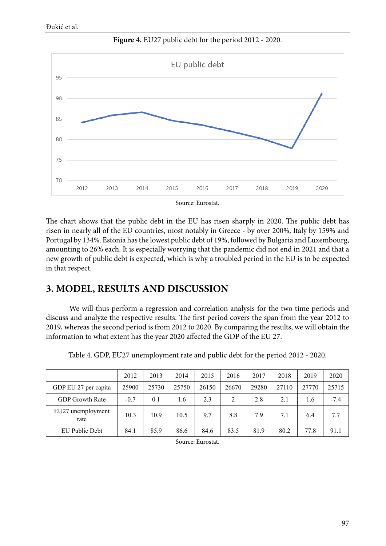

**Figure 4.** EU27 public debt for the period 2012 - 2020.

Source: Eurostat.

The chart shows that the public debt in the EU has risen sharply in 2020. The public debt has risen in nearly all of the EU countries, most notably in Greece - by over 200%, Italy by 159% and Portugal by 134%. Estonia has the lowest public debt of 19%, followed by Bulgaria and Luxembourg, amounting to 26% each. It is especially worrying that the pandemic did not end in 2021 and that a new growth of public debt is expected, which is why a troubled period in the EU is to be expected in that respect.

# **3. MODEL, RESULTS AND DISCUSSION**

We will thus perform a regression and correlation analysis for the two time periods and discuss and analyze the respective results. The first period covers the span from the year 2012 to 2019, whereas the second period is from 2012 to 2020. By comparing the results, we will obtain the information to what extent has the year 2020 affected the GDP of the EU 27.

|                           | 2012   | 2013  | 2014  | 2015  | 2016  | 2017  | 2018  | 2019  | 2020   |
|---------------------------|--------|-------|-------|-------|-------|-------|-------|-------|--------|
| GDP EU 27 per capita      | 25900  | 25730 | 25750 | 26150 | 26670 | 29280 | 27110 | 27770 | 25715  |
| <b>GDP</b> Growth Rate    | $-0.7$ | 0.1   | 1.6   | 2.3   | 2     | 2.8   | 2.1   | 1.6   | $-7.4$ |
| EU27 unemployment<br>rate | 10.3   | 10.9  | 10.5  | 9.7   | 8.8   | 7.9   | 7.1   | 6.4   | 7.7    |
| EU Public Debt            | 84.1   | 85.9  | 86.6  | 84.6  | 83.5  | 81.9  | 80.2  | 77.8  | 91.1   |

Table 4. GDP, EU27 unemployment rate and public debt for the period 2012 - 2020.

Source: Eurostat.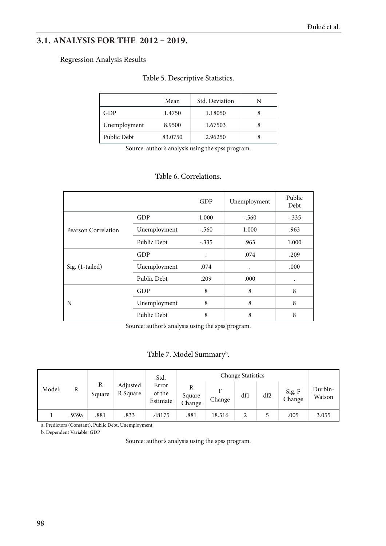# **3.1. ANALYSIS FOR THE 2012 – 2019.**

#### Regression Analysis Results

#### Table 5. Descriptive Statistics.

|              | Mean    | Std. Deviation |  |
|--------------|---------|----------------|--|
| GDP          | 1.4750  | 1.18050        |  |
| Unemployment | 8.9500  | 1.67503        |  |
| Public Debt  | 83.0750 | 2.96250        |  |

Source: author's analysis using the spss program.

## Table 6. Correlations.

|                     |              | GDP                  | Unemployment | Public<br>Debt |
|---------------------|--------------|----------------------|--------------|----------------|
|                     | <b>GDP</b>   | 1.000                | $-.560$      | $-.335$        |
| Pearson Correlation | Unemployment | $-.560$              | 1.000        | .963           |
|                     | Public Debt  | $-.335$              | .963         | 1.000          |
|                     | GDP          | $\ddot{\phantom{0}}$ | .074         | .209           |
| Sig. (1-tailed)     | Unemployment | .074                 | ٠            | .000           |
|                     | Public Debt  | .209                 | .000         | $\bullet$      |
|                     | GDP          | 8                    | 8            | 8              |
| N                   | Unemployment | 8                    | 8            | 8              |
|                     | Public Debt  | 8                    | 8            | 8              |

Source: author's analysis using the spss program.

## Table 7. Model Summary<sup>b</sup>.

|        |       |             |                      | Std.                        |                  |             | <b>Change Statistics</b> |     |                  |                   |
|--------|-------|-------------|----------------------|-----------------------------|------------------|-------------|--------------------------|-----|------------------|-------------------|
| Model: | R     | R<br>Square | Adjusted<br>R Square | Error<br>of the<br>Estimate | Square<br>Change | Е<br>Change | df1                      | df2 | Sig. F<br>Change | Durbin-<br>Watson |
|        | .939a | .881        | .833                 | .48175                      | .881             | 18.516      |                          |     | .005             | 3.055             |

a. Predictors (Constant), Public Debt, Unemployment

b. Dependent Variable: GDP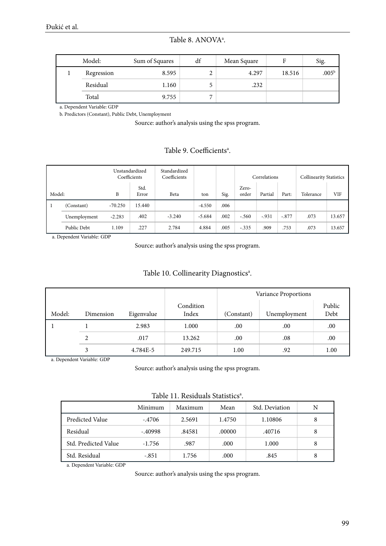Table 8. ANOVA<sup>a</sup>.

| Model:     | Sum of Squares | df             | Mean Square | F      | Sig.              |
|------------|----------------|----------------|-------------|--------|-------------------|
| Regression | 8.595          | ∠              | 4.297       | 18.516 | .005 <sup>b</sup> |
| Residual   | 1.160          |                | .232        |        |                   |
| Total      | 9.755          | $\overline{ }$ |             |        |                   |

a. Dependent Variable: GDP

b. Predictors (Constant), Public Debt, Unemployment

Source: author's analysis using the spss program.

## Table 9. Coefficients<sup>a</sup>.

|        |              | Unstandardized<br>Coefficients |               | Standardized<br>Coefficients |          |      |                | Correlations |         | <b>Collinearity Statistics</b> |        |
|--------|--------------|--------------------------------|---------------|------------------------------|----------|------|----------------|--------------|---------|--------------------------------|--------|
| Model: |              | B                              | Std.<br>Error | Beta                         | ton      | Sig. | Zero-<br>order | Partial      | Part:   | Tolerance                      | VIF    |
|        | (Constant)   | $-70.250$                      | 15.440        |                              | $-4.550$ | .006 |                |              |         |                                |        |
|        | Unemployment | $-2.283$                       | .402          | $-3.240$                     | $-5.684$ | .002 | $-.560$        | $-.931$      | $-.877$ | .073                           | 13.657 |
|        | Public Debt  | 1.109                          | .227          | 2.784                        | 4.884    | .005 | $-.335$        | .909         | .753    | .073                           | 13.657 |

a. Dependent Variable: GDP

Source: author's analysis using the spss program.

|        |           |            |                    | Variance Proportions |              |                |  |  |  |
|--------|-----------|------------|--------------------|----------------------|--------------|----------------|--|--|--|
| Model: | Dimension | Eigenvalue | Condition<br>Index | (Constant)           | Unemployment | Public<br>Debt |  |  |  |
|        |           | 2.983      | 1.000              | .00                  | .00          | .00            |  |  |  |
|        | 2         | .017       | 13.262             | .00                  | .08          | .00            |  |  |  |
|        |           | 4.784E-5   | 249.715            | 1.00                 | .92          | 1.00           |  |  |  |

a. Dependent Variable: GDP

Source: author's analysis using the spss program.

| Table 11. Residuals Statistics <sup>a</sup> . |
|-----------------------------------------------|
|                                               |

|                      | Minimum   | Maximum | Mean   | Std. Deviation | N |
|----------------------|-----------|---------|--------|----------------|---|
| Predicted Value      | $-.4706$  | 2.5691  | 1.4750 | 1.10806        | 8 |
| Residual             | $-.40998$ | .84581  | .00000 | .40716         | 8 |
| Std. Predicted Value | $-1.756$  | .987    | .000   | 1.000          | 8 |
| Std. Residual        | $-.851$   | 1.756   | .000   | .845           | 8 |

a. Dependent Variable: GDP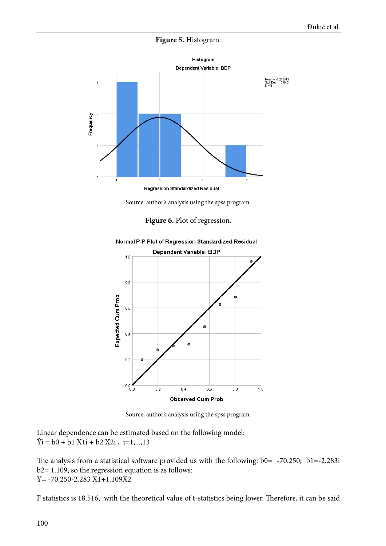#### **Figure 5.** Histogram.



Regression Standardized Residual

Source: author's analysis using the spss program.





Normal P-P Plot of Regression Standardized Residual

Source: author's analysis using the spss program.

Linear dependence can be estimated based on the following model:  $\hat{Y}$ i = b0 + b1 X1i + b2 X2i, i=1,...,13

The analysis from a statistical software provided us with the following: b0= -70.250; b1=-2.283i b2= 1.109, so the regression equation is as follows:  $Y = -70.250 - 2.283 X1 + 1.109X2$ 

F statistics is 18.516, with the theoretical value of t-statistics being lower. Therefore, it can be said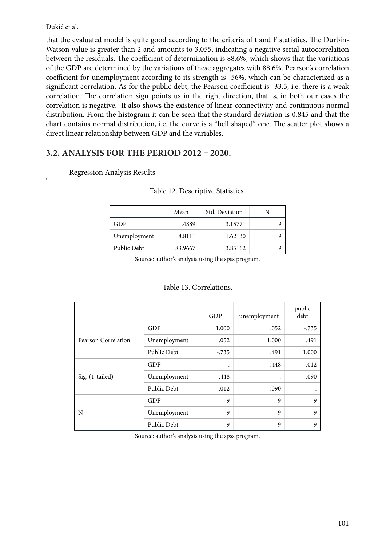'

that the evaluated model is quite good according to the criteria of t and F statistics. The Durbin-Watson value is greater than 2 and amounts to 3.055, indicating a negative serial autocorrelation between the residuals. The coefficient of determination is 88.6%, which shows that the variations of the GDP are determined by the variations of these aggregates with 88.6%. Pearson's correlation coefficient for unemployment according to its strength is -56%, which can be characterized as a significant correlation. As for the public debt, the Pearson coefficient is -33.5, i.e. there is a weak correlation. The correlation sign points us in the right direction, that is, in both our cases the correlation is negative. It also shows the existence of linear connectivity and continuous normal distribution. From the histogram it can be seen that the standard deviation is 0.845 and that the chart contains normal distribution, i.e. the curve is a "bell shaped" one. The scatter plot shows a direct linear relationship between GDP and the variables.

## **3.2. ANALYSIS FOR THE PERIOD 2012 – 2020.**

## Regression Analysis Results

|              | Mean    | Std. Deviation |  |
|--------------|---------|----------------|--|
| GDP          | .4889   | 3.15771        |  |
| Unemployment | 8.8111  | 1.62130        |  |
| Public Debt  | 83.9667 | 3.85162        |  |

#### Table 12. Descriptive Statistics.

Source: author's analysis using the spss program.

#### Table 13. Correlations.

|                     |              | GDP       | unemployment | public<br>debt |
|---------------------|--------------|-----------|--------------|----------------|
|                     | GDP          | 1.000     | .052         | $-.735$        |
| Pearson Correlation | Unemployment | .052      | 1.000        | .491           |
|                     | Public Debt  | $-.735$   | .491         | 1.000          |
|                     | GDP          | $\bullet$ | .448         | .012           |
| Sig. (1-tailed)     | Unemployment | .448      | $\bullet$    | .090           |
|                     | Public Debt  | .012      | .090         | ٠              |
|                     | GDP          | 9         | 9            | 9              |
| N                   | Unemployment | 9         | 9            | 9              |
|                     | Public Debt  | 9         | 9            | 9              |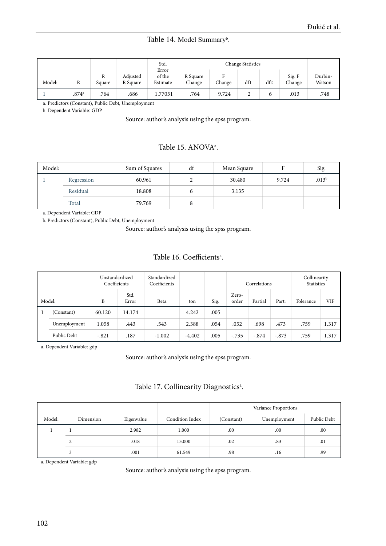#### Table 14. Model Summary<sup>b</sup>.

|        |                |             |                      | Std.<br>Error      |                    |        | <b>Change Statistics</b> |     |                  |                   |
|--------|----------------|-------------|----------------------|--------------------|--------------------|--------|--------------------------|-----|------------------|-------------------|
| Model: | R              | R<br>Square | Adjusted<br>R Square | of the<br>Estimate | R Square<br>Change | Change | df1                      | df2 | Sig. F<br>Change | Durbin-<br>Watson |
|        | $.874^{\circ}$ | .764        | .686                 | 1.77051            | .764               | 9.724  | ∸                        | 6   | .013             | .748              |

a. Predictors (Constant), Public Debt, Unemployment

b. Dependent Variable: GDP

Source: author's analysis using the spss program.

## Table 15. ANOVA<sup>a</sup>.

| Model: |            | Sum of Squares | df | Mean Square | $\blacksquare$<br>н | Sig.              |
|--------|------------|----------------|----|-------------|---------------------|-------------------|
|        | Regression | 60.961         |    | 30.480      | 9.724               | .013 <sup>b</sup> |
|        | Residual   | 18.808         | 6  | 3.135       |                     |                   |
|        | Total      | 79.769         | Ō  |             |                     |                   |

a. Dependent Variable: GDP

b. Predictors (Constant), Public Debt, Unemployment

Source: author's analysis using the spss program.

## Table 16. Coefficients<sup>a</sup>.

|        |              | Unstandardized<br>Coefficients | Standardized<br>Coefficients |          |          |      | Correlations   |         | Collinearity<br><b>Statistics</b> |           |       |
|--------|--------------|--------------------------------|------------------------------|----------|----------|------|----------------|---------|-----------------------------------|-----------|-------|
| Model: |              | B                              | Std.<br>Error                | Beta     | ton      | Sig. | Zero-<br>order | Partial | Part:                             | Tolerance | VIF   |
|        | (Constant)   | 60.120                         | 14.174                       |          | 4.242    | .005 |                |         |                                   |           |       |
|        | Unemployment | 1.058                          | .443                         | .543     | 2.388    | .054 | .052           | .698    | .473                              | .759      | 1.317 |
|        | Public Debt  | $-.821$                        | .187                         | $-1.002$ | $-4.402$ | .005 | $-.735$        | $-.874$ | $-.873$                           | .759      | 1.317 |

a. Dependent Variable: gdp

Source: author's analysis using the spss program.

#### Table 17. Collinearity Diagnostics<sup>a</sup>.

|        |           |            |                        | Variance Proportions |              |             |  |
|--------|-----------|------------|------------------------|----------------------|--------------|-------------|--|
| Model: | Dimension | Eigenvalue | <b>Condition Index</b> | (Constant)           | Unemployment | Public Debt |  |
|        |           | 2.982      | 1.000                  | .00                  | .00          | .00         |  |
|        | ↑<br>▵    | .018       | 13.000                 | .02                  | .83          | .01         |  |
|        |           | .001       | 61.549                 | .98                  | .16          | .99         |  |

a. Dependent Variable: gdp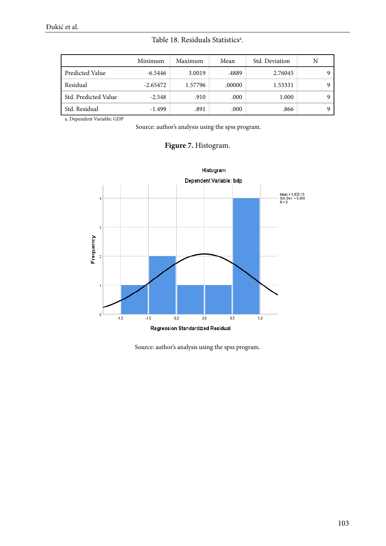|  | Table 18. Residuals Statistics <sup>a</sup> . |  |
|--|-----------------------------------------------|--|
|  |                                               |  |

|                      | Minimum    | Maximum | Mean   | Std. Deviation | N |
|----------------------|------------|---------|--------|----------------|---|
| Predicted Value      | $-6.5446$  | 3.0019  | .4889  | 2.76045        |   |
| Residual             | $-2.65472$ | 1.57796 | .00000 | 1.53331        | Q |
| Std. Predicted Value | $-2.548$   | .910    | .000   | 1.000          | Q |
| Std. Residual        | $-1.499$   | .891    | .000   | .866           |   |

a. Dependent Variable: GDP

Source: author's analysis using the spss program.

## Figure 7. Histogram.

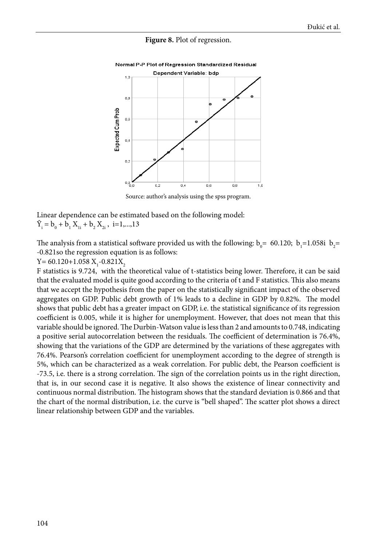#### **Figure 8.** Plot of regression.



Normal P-P Plot of Regression Standardized Residual

Source: author's analysis using the spss program.

Linear dependence can be estimated based on the following model:  $\hat{Y}_i = b_0 + b_1 X_{1i} + b_2 X_{2i}$ , i=1,...,13

The analysis from a statistical software provided us with the following:  $b_0$ = 60.120;  $b_1$ =1.058i  $b_2$ = -0.821so the regression equation is as follows:

 $Y = 60.120 + 1.058$   $X_1$ -0.821 $X_2$ 

F statistics is 9.724, with the theoretical value of t-statistics being lower. Therefore, it can be said that the evaluated model is quite good according to the criteria of t and F statistics. This also means that we accept the hypothesis from the paper on the statistically significant impact of the observed aggregates on GDP. Public debt growth of 1% leads to a decline in GDP by 0.82%. The model shows that public debt has a greater impact on GDP, i.e. the statistical significance of its regression coefficient is 0.005, while it is higher for unemployment. However, that does not mean that this variable should be ignored. The Durbin-Watson value is less than 2 and amounts to 0.748, indicating a positive serial autocorrelation between the residuals. The coefficient of determination is 76.4%, showing that the variations of the GDP are determined by the variations of these aggregates with 76.4%. Pearson's correlation coefficient for unemployment according to the degree of strength is 5%, which can be characterized as a weak correlation. For public debt, the Pearson coefficient is -73.5, i.e. there is a strong correlation. The sign of the correlation points us in the right direction, that is, in our second case it is negative. It also shows the existence of linear connectivity and continuous normal distribution. The histogram shows that the standard deviation is 0.866 and that the chart of the normal distribution, i.e. the curve is "bell shaped". The scatter plot shows a direct linear relationship between GDP and the variables.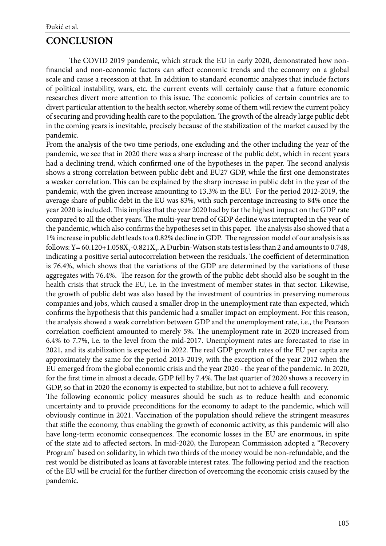## **CONCLUSION**

The COVID 2019 pandemic, which struck the EU in early 2020, demonstrated how nonfinancial and non-economic factors can affect economic trends and the economy on a global scale and cause a recession at that. In addition to standard economic analyzes that include factors of political instability, wars, etc. the current events will certainly cause that a future economic researches divert more attention to this issue. The economic policies of certain countries are to divert particular attention to the health sector, whereby some of them will review the current policy of securing and providing health care to the population. The growth of the already large public debt in the coming years is inevitable, precisely because of the stabilization of the market caused by the pandemic.

From the analysis of the two time periods, one excluding and the other including the year of the pandemic, we see that in 2020 there was a sharp increase of the public debt, which in recent years had a declining trend, which confirmed one of the hypotheses in the paper. The second analysis shows a strong correlation between public debt and EU27 GDP, while the first one demonstrates a weaker correlation. This can be explained by the sharp increase in public debt in the year of the pandemic, with the given increase amounting to 13.3% in the EU. For the period 2012-2019, the average share of public debt in the EU was 83%, with such percentage increasing to 84% once the year 2020 is included. This implies that the year 2020 had by far the highest impact on the GDP rate compared to all the other years. The multi-year trend of GDP decline was interrupted in the year of the pandemic, which also confirms the hypotheses set in this paper. The analysis also showed that a 1% increase in public debt leads to a 0.82% decline in GDP. The regression model of our analysis is as follows: Y = 60.120+1.058 $X_i$ -0.821 $X_j$ . A Durbin-Watson stats test is less than 2 and amounts to 0.748, indicating a positive serial autocorrelation between the residuals. The coefficient of determination is 76.4%, which shows that the variations of the GDP are determined by the variations of these aggregates with 76.4%. The reason for the growth of the public debt should also be sought in the health crisis that struck the EU, i.e. in the investment of member states in that sector. Likewise, the growth of public debt was also based by the investment of countries in preserving numerous companies and jobs, which caused a smaller drop in the unemployment rate than expected, which confirms the hypothesis that this pandemic had a smaller impact on employment. For this reason, the analysis showed a weak correlation between GDP and the unemployment rate, i.e., the Pearson correlation coefficient amounted to merely 5%. The unemployment rate in 2020 increased from 6.4% to 7.7%, i.e. to the level from the mid-2017. Unemployment rates are forecasted to rise in 2021, and its stabilization is expected in 2022. The real GDP growth rates of the EU per capita are approximately the same for the period 2013-2019, with the exception of the year 2012 when the EU emerged from the global economic crisis and the year 2020 - the year of the pandemic. In 2020, for the first time in almost a decade, GDP fell by 7.4%. The last quarter of 2020 shows a recovery in GDP, so that in 2020 the economy is expected to stabilize, but not to achieve a full recovery.

The following economic policy measures should be such as to reduce health and economic uncertainty and to provide preconditions for the economy to adapt to the pandemic, which will obviously continue in 2021. Vaccination of the population should relieve the stringent measures that stifle the economy, thus enabling the growth of economic activity, as this pandemic will also have long-term economic consequences. The economic losses in the EU are enormous, in spite of the state aid to affected sectors. In mid-2020, the European Commission adopted a "Recovery Program" based on solidarity, in which two thirds of the money would be non-refundable, and the rest would be distributed as loans at favorable interest rates. The following period and the reaction of the EU will be crucial for the further direction of overcoming the economic crisis caused by the pandemic.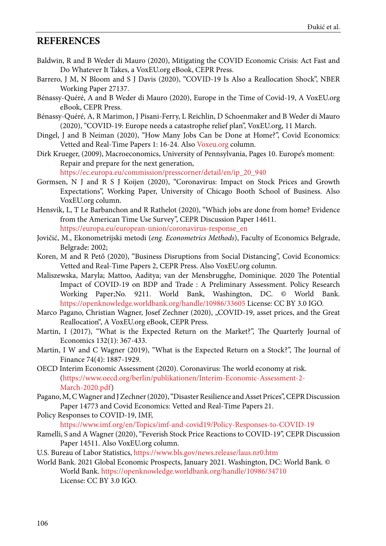## <span id="page-15-0"></span>**REFERENCES**

- Baldwin, R and B Weder di Mauro (2020), [Mitigating the COVID Economic Crisis: Act Fast and](https://voxeu.org/content/mitigating-covid-economic-crisis-act-fast-and-do-whatever-it-takes) [Do Whatever It Takes,](https://voxeu.org/content/mitigating-covid-economic-crisis-act-fast-and-do-whatever-it-takes) a VoxEU.org eBook, CEPR Press.
- Barrero, J M, N Bloom and S J Davis (2020), "COVID-19 Is Also a Reallocation Shock", NBER Working Paper 27137.
- Bénassy-Quéré, A and B Weder di Mauro (2020), [Europe in the Time of Covid-19,](https://voxeu.org/content/europe-time-covid-19) A VoxEU.org eBook, CEPR Press.
- Bénassy-Quéré, A, R Marimon, J Pisani-Ferry, L Reichlin, D Schoenmaker and B Weder di Mauro (2020), ["COVID-19: Europe needs a catastrophe relief plan"](https://voxeu.org/article/covid-19-europe-needs-catastrophe-relief-plan), VoxEU.org, 11 March.
- Dingel, J and B Neiman (2020), ["How Many Jobs Can be Done at Home?](https://cepr.org/content/covid-economics-vetted-and-real-time-papers-0#block-block-10)", Covid Economics: Vetted and Real-Time Papers 1: 16-24. Also Voxeu.org [column](https://voxeu.org/article/how-many-jobs-can-be-done-home).
- Dirk Krueger, (2009), Macroeconomics, University of Pennsylvania, Pages 10. Europe's moment: Repair and prepare for the next generation,

[https://ec.europa.eu/commission/presscorner/detail/en/ip\\_20\\_940](https://ec.europa.eu/commission/presscorner/detail/en/ip_20_940)

- Gormsen, N J and R S J Koijen (2020), ["Coronavirus: Impact on Stock Prices and Growth](https://papers.ssrn.com/sol3/papers.cfm?abstract_id=3555917) [Expectations](https://papers.ssrn.com/sol3/papers.cfm?abstract_id=3555917)", Working Paper, University of Chicago Booth School of Business. Also VoxEU.org [column](https://voxeu.org/article/coronavirus-impact-stock-prices-and-growth-expectations).
- Hensvik, L, T Le Barbanchon and R Rathelot (2020), ["Which jobs are done from home? Evidence](https://cepr.org/active/publications/discussion_papers/dp.php?dpno=14611) [from the American Time Use Survey"](https://cepr.org/active/publications/discussion_papers/dp.php?dpno=14611), CEPR Discussion Paper 14611. https://europa.eu/european-union/coronavirus-response\_en
- Jovičić, M., Ekonometrijski metodi (*eng. Econometrics Methods*), Faculty of Economics Belgrade, Belgrade: 2002;
- Koren, M and R Pető (2020), ["Business Disruptions from Social Distancing](https://cepr.org/content/covid-economics-vetted-and-real-time-papers-0#block-block-10)", Covid Economics: Vetted and Real-Time Papers 2, CEPR Press. Also VoxEU.org [column.](https://voxeu.org/article/it-s-retail-stores-and-restaurants-not-farms-and-fisheries-suffer-most-social-distancing)
- Maliszewska, Maryla; Mattoo, Aaditya; van der Mensbrugghe, Dominique. 2020 The Potential Impact of COVID-19 on BDP and Trade : A Preliminary Assessment. Policy Research Working Paper;No. 9211. World Bank, Washington, DC. © World Bank. https://openknowledge.worldbank.org/handle/10986/33605 License: CC BY 3.0 IGO.
- Marco Pagano, Christian Wagner, Josef Zechner (2020), "COVID-19, asset prices, and the Great Reallocation", A VoxEU.org eBook, CEPR Press.
- Martin, I (2017), "What is the Expected Return on the Market?", The Quarterly Journal of Economics 132(1): 367-433.
- Martin, I W and C Wagner (2019), "What is the Expected Return on a Stock?", The Journal of Finance 74(4): 1887-1929.
- OECD Interim Economic Assessment (2020). Coronavirus: The world economy at risk. ([https://www.oecd.org/berlin/publikationen/Interim-Economic-Assessment-2-](https://www.oecd.org/berlin/publikationen/Interim-Economic-Assessment-2-March-2020.pdf) [March-2020.pdf](https://www.oecd.org/berlin/publikationen/Interim-Economic-Assessment-2-March-2020.pdf))
- Pagano, M, C Wagner and J Zechner (2020), ["Disaster Resilience and Asset Prices"](https://cepr.org/active/publications/discussion_papers/dp.php?dpno=14773), CEPR Discussion Paper 14773 and Covid Economics: Vetted and Real-Time Papers 21.
- Policy Responses to COVID-19, IMF,

<https://www.imf.org/en/Topics/imf-and-covid19/Policy-Responses-to-COVID-19>

- Ramelli, S and A Wagner (2020), ["Feverish Stock Price Reactions to COVID-19"](https://cepr.org/active/publications/discussion_papers/dp.php?dpno=14511), CEPR Discussion Paper 14511. Also VoxEU.org [column.](https://voxeu.org/article/what-stock-market-tells-us-about-consequences-covid-19)
- U.S. Bureau of Labor Statistics, https://www.bls.gov/news.release/laus.nr0.htm
- World Bank. 2021 Global Economic Prospects, January 2021. Washington, DC: World Bank. © World Bank. https://openknowledge.worldbank.org/handle/10986/34710 License: CC BY 3.0 IGO.